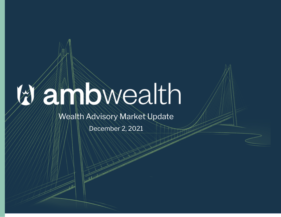## anbwealth

## Wealth Advisory Market Update

December 2, 2021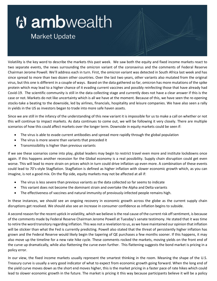## *V* ambwealth

## **Market Update**

Volatility is the key word to describe the markets this past week. We saw both the equity and fixed income markets react to two separate events, the news surrounding the omicron variant of the coronavirus and the comments of Federal Reserve Chairman Jerome Powell. We'll address each in turn. First, the omicron variant was detected in South Africa last week and has since spread to more than two dozen other countries. Over the last two years, other variants also mutated from the original virus, but this one is different in a couple of ways. Based on the data gathered so far, omicron has more mutations of the spike protein which may lead to a higher chance of it evading current vaccines and possibly reinfecting those that have already had Covid-19. The scientific community is still in the data collecting stage and currently does not have a clear answer if this is the case or not. Markets do not like uncertainty which is all we have at the moment. Because of this, we have seen the re-opening stocks take a beating to the downside, led by airlines, financials, hospitality and leisure companies. We have also seen a rally in yields in the US as investors began to trade into more safe haven assets.

Since we are still in the infancy of the understanding of this new variant it is impossible for us to make a call on whether or not this will continue to impact markets. As data continues to come out, we will be following it very closely. There are multiple scenarios of how this could affect markets over the longer term. Downside in equity markets could be seen if:

- The virus is able to evade current antibodies and spread more rapidly through the global population
- The virus is more severe than variants that preceded it
- Transmissibility is higher than previous variants

If we see these scenarios come into play, global leaders may begin to restrict travel even more and institute lockdowns once again. If this happens another recession for the Global economy is a real possibility. Supply chain disruption could get even worse. This will lead to more strain on prices which in turn could drive inflation up even more. A combination of these events could lead to 70's-style Stagflation. Stagflation is defined as higher inflation with slower economic growth which, as you can imagine, is not a good mix. On the flip side, equity markets may not be affected at all if:

- The virus is less severe than previous variants as the data collected so far seems to indicate
- This variant does not become the dominant strain and overtake the Alpha and Delta variants
- The effectiveness of vaccines and natural immunity of previously-infected people remains high.

In these instances, we should see an ongoing recovery in economic growth across the globe as the current supply chain disruptions get resolved. We should also see an increase in consumer confidence as inflation begins to subside.

A second reason for the recent uptick in volatility, which we believe is the real cause of the current risk off sentiment, is because of the comments made by Federal Reserve Chairman Jerome Powell at Tuesday's senate testimony. He stated that it was time to retire the word transitory regarding inflation. This was not a revelation to us, as we have maintained our opinion that inflation will be stickier than what the Fed is currently predicting. Powell also stated that the threat of persistently higher inflation has grown and the Federal Reserve would likely begin the tapering of QE purchases a few months sooner. If this happens, it may also move up the timeline for a new rate hike cycle. These comments rocked the markets, moving yields on the front end of the curve up dramatically, while also flattening the curve even further. This flattening suggests the bond market is pricing in a policy error.

In our view, the fixed income markets usually represent the smartest thinking in the room. Meaning the shape of the U.S. Treasury curve is usually a very good indicator of what to expect from economic growth going forward. When the long end of the yield curve moves down as the short end moves higher, this is the market pricing in a faster pace of rate hikes which could lead to slower economic growth in the future. The market is pricing it this way because participants believe it will be a policy